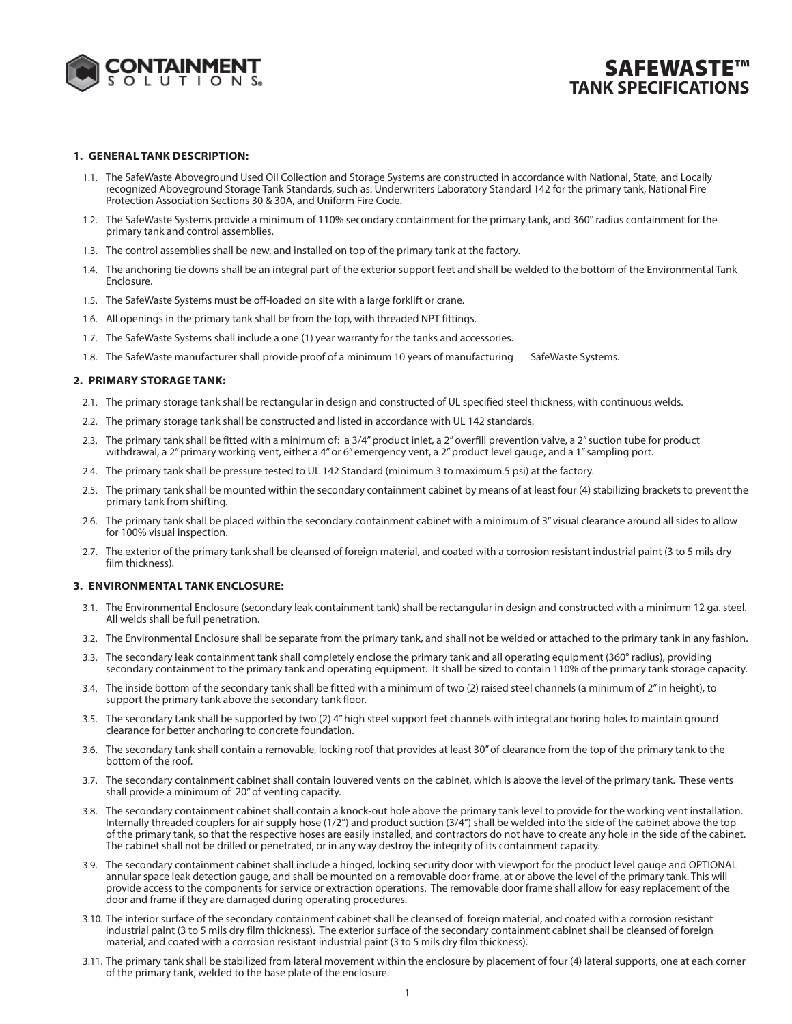

# **SAFEWASTE™ TANK SPECIFICATIONS**

### **1. GENERAL TANK DESCRIPTION:**

- 1.1. The SafeWaste Aboveground Used Oil Collection and Storage Systems are constructed in accordance with National, State, and Locally recognized Aboveground Storage Tank Standards, such as: Underwriters Laboratory Standard 142 for the primary tank, National Fire Protection Association Sections 30 & 30A, and Uniform Fire Code.
- 1.2. The SafeWaste Systems provide a minimum of 110% secondary containment for the primary tank, and 360° radius containment for the primary tank and control assemblies.
- 1.3. The control assemblies shall be new, and installed on top of the primary tank at the factory.
- 1.4. The anchoring tie downs shall be an integral part of the exterior support feet and shall be welded to the bottom of the Environmental Tank Enclosure.
- 1.5. The SafeWaste Systems must be off-loaded on site with a large forklift or crane.
- 1.6. All openings in the primary tank shall be from the top, with threaded NPT fittings.
- 1.7. The SafeWaste Systems shall include a one (1) year warranty for the tanks and accessories.
- 1.8. The SafeWaste manufacturer shall provide proof of a minimum 10 years of manufacturing SafeWaste Systems.

#### **2. PRIMARY STORAGE TANK:**

- 2.1. The primary storage tank shall be rectangular in design and constructed of UL specified steel thickness, with continuous welds.
- 2.2. The primary storage tank shall be constructed and listed in accordance with UL 142 standards.
- 2.3. The primary tank shall be fitted with a minimum of: a 3/4" product inlet, a 2" overfill prevention valve, a 2" suction tube for product withdrawal, a 2" primary working vent, either a 4" or 6" emergency vent, a 2" product level gauge, and a 1" sampling port.
- 2.4. The primary tank shall be pressure tested to UL 142 Standard (minimum 3 to maximum 5 psi) at the factory.
- 2.5. The primary tank shall be mounted within the secondary containment cabinet by means of at least four (4) stabilizing brackets to prevent the primary tank from shifting.
- 2.6. The primary tank shall be placed within the secondary containment cabinet with a minimum of 3" visual clearance around all sides to allow for 100% visual inspection.
- 2.7. The exterior of the primary tank shall be cleansed of foreign material, and coated with a corrosion resistant industrial paint (3 to 5 mils dry film thickness).

#### **3. ENVIRONMENTAL TANK ENCLOSURE:**

- 3.1. The Environmental Enclosure (secondary leak containment tank) shall be rectangular in design and constructed with a minimum 12 ga. steel. All welds shall be full penetration.
- 3.2. The Environmental Enclosure shall be separate from the primary tank, and shall not be welded or attached to the primary tank in any fashion.
- 3.3. The secondary leak containment tank shall completely enclose the primary tank and all operating equipment (360° radius), providing secondary containment to the primary tank and operating equipment. It shall be sized to contain 110% of the primary tank storage capacity.
- 3.4. The inside bottom of the secondary tank shall be fitted with a minimum of two (2) raised steel channels (a minimum of 2" in height), to support the primary tank above the secondary tank floor.
- 3.5. The secondary tank shall be supported by two (2) 4" high steel support feet channels with integral anchoring holes to maintain ground clearance for better anchoring to concrete foundation.
- 3.6. The secondary tank shall contain a removable, locking roof that provides at least 30" of clearance from the top of the primary tank to the bottom of the roof.
- 3.7. The secondary containment cabinet shall contain louvered vents on the cabinet, which is above the level of the primary tank. These vents shall provide a minimum of 20" of venting capacity.
- 3.8. The secondary containment cabinet shall contain a knock-out hole above the primary tank level to provide for the working vent installation. Internally threaded couplers for air supply hose (1/2") and product suction (3/4") shall be welded into the side of the cabinet above the top of the primary tank, so that the respective hoses are easily installed, and contractors do not have to create any hole in the side of the cabinet. The cabinet shall not be drilled or penetrated, or in any way destroy the integrity of its containment capacity.
- 3.9. The secondary containment cabinet shall include a hinged, locking security door with viewport for the product level gauge and OPTIONAL annular space leak detection gauge, and shall be mounted on a removable door frame, at or above the level of the primary tank. This will provide access to the components for service or extraction operations. The removable door frame shall allow for easy replacement of the door and frame if they are damaged during operating procedures.
- 3.10. The interior surface of the secondary containment cabinet shall be cleansed of foreign material, and coated with a corrosion resistant industrial paint (3 to 5 mils dry film thickness). The exterior surface of the secondary containment cabinet shall be cleansed of foreign material, and coated with a corrosion resistant industrial paint (3 to 5 mils dry film thickness).
- 3.11. The primary tank shall be stabilized from lateral movement within the enclosure by placement of four (4) lateral supports, one at each corner of the primary tank, welded to the base plate of the enclosure.